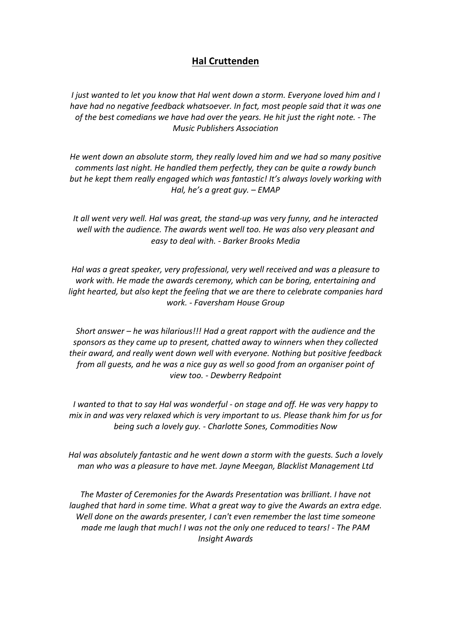## **Hal Cruttenden**

*I* just wanted to let you know that Hal went down a storm. Everyone loved him and I *have had no negative feedback whatsoever. In fact, most people said that it was one of the best comedians we have had over the years. He hit just the right note.* - *The Music Publishers Association*

He went down an absolute storm, they really loved him and we had so many positive *comments last night.* He handled them perfectly, they can be quite a rowdy bunch but he kept them really engaged which was fantastic! It's always lovely working with *Hal, he's a great guy.* – *EMAP* 

It all went very well. Hal was great, the stand-up was very funny, and he interacted well with the audience. The awards went well too. He was also very pleasant and *easy to deal with. - Barker Brooks Media*

*Hal* was a great speaker, very professional, very well received and was a pleasure to *work* with. He made the awards ceremony, which can be boring, entertaining and *light hearted, but also kept the feeling that we are there to celebrate companies hard work. - Faversham House Group* 

*Short answer* – *he was hilarious!!! Had a great rapport with the audience and the* sponsors as they came up to present, chatted away to winners when they collected *their* award, and really went down well with everyone. Nothing but positive feedback *from all guests, and he was a nice guy as well so good from an organiser point of view too. - Dewberry Redpoint*

*I* wanted to that to say Hal was wonderful - on stage and off. He was very happy to *mix* in and was very relaxed which is very important to us. Please thank him for us for *being such a lovely guy.* - *Charlotte Sones, Commodities Now* 

*Hal* was absolutely fantastic and he went down a storm with the quests. Such a lovely *man* who was a pleasure to have met. Jayne Meegan, Blacklist Management Ltd

The Master of Ceremonies for the Awards Presentation was brilliant. I have not *laughed* that hard in some time. What a great way to give the Awards an extra edge. *Well* done on the awards presenter, I can't even remember the last time someone *made me laugh that much! I was not the only one reduced to tears! - The PAM Insight Awards*